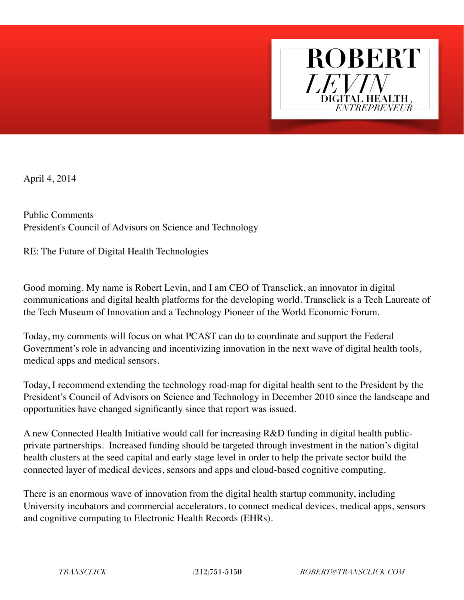

April 4, 2014

Public Comments President's Council of Advisors on Science and Technology

RE: The Future of Digital Health Technologies

Good morning. My name is Robert Levin, and I am CEO of Transclick, an innovator in digital communications and digital health platforms for the developing world. Transclick is a Tech Laureate of the Tech Museum of Innovation and a Technology Pioneer of the World Economic Forum.

Today, my comments will focus on what PCAST can do to coordinate and support the Federal Government's role in advancing and incentivizing innovation in the next wave of digital health tools, medical apps and medical sensors.

Today, I recommend extending the technology road-map for digital health sent to the President by the President's Council of Advisors on Science and Technology in December 2010 since the landscape and opportunities have changed significantly since that report was issued.

A new Connected Health Initiative would call for increasing R&D funding in digital health publicprivate partnerships. Increased funding should be targeted through investment in the nation's digital health clusters at the seed capital and early stage level in order to help the private sector build the connected layer of medical devices, sensors and apps and cloud-based cognitive computing.

There is an enormous wave of innovation from the digital health startup community, including University incubators and commercial accelerators, to connect medical devices, medical apps, sensors and cognitive computing to Electronic Health Records (EHRs).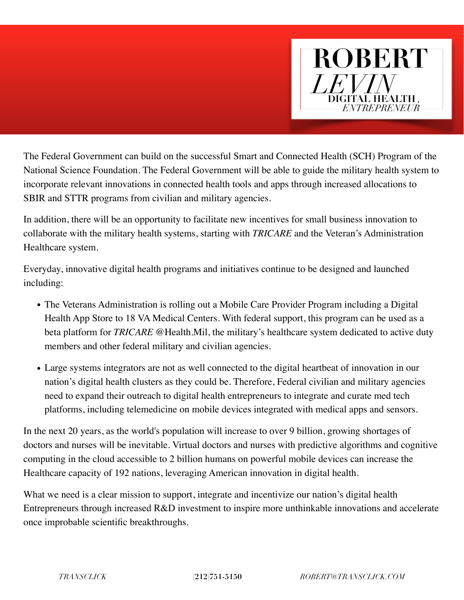

The Federal Government can build on the successful Smart and Connected Health (SCH) Program of the National Science Foundation. The Federal Government will be able to guide the military health system to incorporate relevant innovations in connected health tools and apps through increased allocations to SBIR and STTR programs from civilian and military agencies.

In addition, there will be an opportunity to facilitate new incentives for small business innovation to collaborate with the military health systems, starting with *TRICARE* and the Veteran's Administration Healthcare system.

Everyday, innovative digital health programs and initiatives continue to be designed and launched including:

- The Veterans Administration is rolling out a Mobile Care Provider Program including a Digital Health App Store to 18 VA Medical Centers. With federal support, this program can be used as a beta platform for *TRICARE* @Health.Mil, the military's healthcare system dedicated to active duty members and other federal military and civilian agencies.
- Large systems integrators are not as well connected to the digital heartbeat of innovation in our nation's digital health clusters as they could be. Therefore, Federal civilian and military agencies need to expand their outreach to digital health entrepreneurs to integrate and curate med tech platforms, including telemedicine on mobile devices integrated with medical apps and sensors.

In the next 20 years, as the world's population will increase to over 9 billion, growing shortages of doctors and nurses will be inevitable. Virtual doctors and nurses with predictive algorithms and cognitive computing in the cloud accessible to 2 billion humans on powerful mobile devices can increase the Healthcare capacity of 192 nations, leveraging American innovation in digital health.

What we need is a clear mission to support, integrate and incentivize our nation's digital health Entrepreneurs through increased R&D investment to inspire more unthinkable innovations and accelerate once improbable scientific breakthroughs.